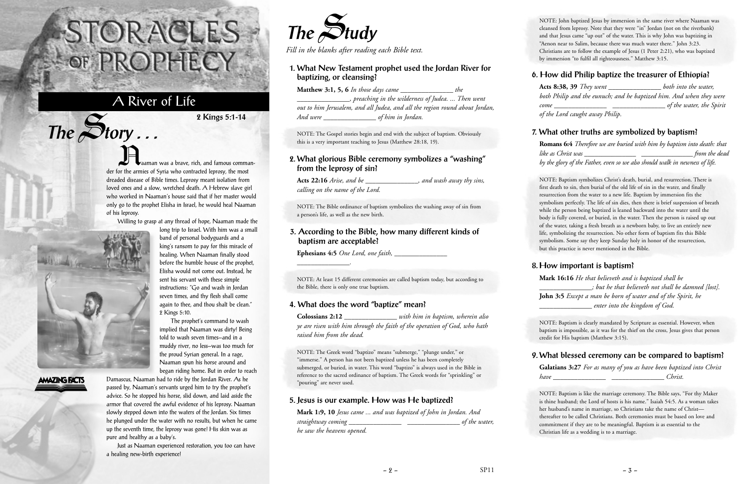Naaman was a brave, rich, and famous commander for the armies of Syria who contracted leprosy, the most dreaded disease of Bible times. Leprosy meant isolation from loved ones and a slow, wretched death. A Hebrew slave girl who worked in Naaman's house said that if her master would only go to the prophet Elisha in Israel, he would heal Naaman of his leprosy.

Willing to grasp at any thread of hope, Naaman made the

long trip to Israel. With him was a small band of personal bodyguards and a king's ransom to pay for this miracle of healing. When Naaman finally stood before the humble house of the prophet, Elisha would not come out. Instead, he sent his servant with these simple instructions: "Go and wash in Jordan seven times, and thy flesh shall come again to thee, and thou shalt be clean."



 $The$  $S$ **tory** ...

## **AMAZING FACTS**

The prophet's command to wash implied that Naaman was dirty! Being told to wash seven times—and in a muddy river, no less—was too much for the proud Syrian general. In a rage, Naaman spun his horse around and

began riding home. But in order to reach Damascus, Naaman had to ride by the Jordan River. As he passed by, Naaman's servants urged him to try the prophet's advice. So he stopped his horse, slid down, and laid aside the armor that covered the awful evidence of his leprosy. Naaman slowly stepped down into the waters of the Jordan. Six times he plunged under the water with no results, but when he came up the seventh time, the leprosy was gone! His skin was as pure and healthy as a baby's.

Just as Naaman experienced restoration, you too can have a healing new-birth experience!

# STORACLES-OF PROPHECY

## A River of Life

**2 Kings 5:1-14**



*Fill in the blanks after reading each Bible text.*

#### **1. What New Testament prophet used the Jordan River for baptizing, or cleansing?**

**Matthew 3:1, 5, 6** *In those days came \_\_\_\_\_\_\_\_\_\_\_\_\_\_\_ the \_\_\_\_\_\_\_\_\_\_\_\_\_\_\_, preaching in the wilderness of Judea. ... Then went out to him Jerusalem, and all Judea, and all the region round about Jordan, And were \_\_\_\_\_\_\_\_\_\_\_\_\_\_\_ of him in Jordan.*

NOTE: The Gospel stories begin and end with the subject of baptism. Obviously this is a very important teaching to Jesus (Matthew 28:18, 19).

#### **2. What glorious Bible ceremony symbolizes a "washing" from the leprosy of sin?**

**Acts 22:16** *Arise, and be* \_\_\_\_\_\_\_\_\_\_\_\_\_\_\_*, and wash away thy sins, calling on the name of the Lord.*

NOTE: The Bible ordinance of baptism symbolizes the washing away of sin from a person's life, as well as the new birth.

#### **3. According to the Bible, how many different kinds of baptism are acceptable?**

**Ephesians 4:5** *One Lord, one faith,* \_\_\_\_\_\_\_\_\_\_\_\_\_\_\_

\_\_\_\_\_\_\_\_\_\_\_\_\_\_\_*.*

NOTE: At least 15 different ceremonies are called baptism today, but according to the Bible, there is only one true baptism.

#### **4. What does the word "baptize" mean?**

**Colossians 2:12** \_\_\_\_\_\_\_\_\_\_\_\_\_\_\_ *with him in baptism, wherein also ye are risen with him through the faith of the operation of God, who hath raised him from the dead.*

NOTE: The Greek word "baptizo" means "submerge," "plunge under," or "immerse." A person has not been baptized unless he has been completely submerged, or buried, in water. This word "baptizo" is always used in the Bible in reference to the sacred ordinance of baptism. The Greek words for "sprinkling" or "pouring" are never used.

#### **5. Jesus is our example. How was He baptized?**

**Mark 1:9, 10** *Jesus came ... and was baptized of John in Jordan. And straightway coming* \_\_\_\_\_\_\_\_\_\_\_\_\_\_\_ \_\_\_\_\_\_\_\_\_\_\_\_\_\_\_ *of the water, he saw the heavens opened.*

NOTE: John baptized Jesus by immersion in the same river where Naaman was cleansed from leprosy. Note that they were "in" Jordan (not on the riverbank) and that Jesus came "up out" of the water. This is why John was baptizing in "Aenon near to Salim, because there was much water there." John 3:23. Christians are to follow the example of Jesus (1 Peter 2:21), who was baptized by immersion "to fulfil all righteousness." Matthew 3:15.

#### **6. How did Philip baptize the treasurer of Ethiopia?**

**Acts 8:38, 39** *They went* \_\_\_\_\_\_\_\_\_\_\_\_\_\_\_ *both into the water, both Philip and the eunuch; and he baptized him. And when they were come* \_\_\_\_\_\_\_\_\_\_\_\_\_\_\_ \_\_\_\_\_\_\_\_\_\_\_\_\_\_\_ *of the water, the Spirit* 

*of the Lord caught away Philip.*

## **7. What other truths are symbolized by baptism?**

**Romans 6:4** *Therefore we are buried with him by baptism into death: that like as Christ was* \_\_\_\_\_\_\_\_\_\_\_\_\_\_\_ \_\_\_\_\_\_\_\_\_\_\_\_\_\_\_ *from the dead by the glory of the Father, even so we also should walk in newness of life.*

NOTE: Baptism symbolizes Christ's death, burial, and resurrection. There is first death to sin, then burial of the old life of sin in the water, and finally resurrection from the water to a new life. Baptism by immersion fits the symbolism perfectly. The life of sin dies, then there is brief suspension of breath while the person being baptized is leaned backward into the water until the body is fully covered, or buried, in the water. Then the person is raised up out of the water, taking a fresh breath as a newborn baby, to live an entirely new life, symbolizing the resurrection. No other form of baptism fits this Bible symbolism. Some say they keep Sunday holy in honor of the resurrection, but this practice is never mentioned in the Bible.

## **8. How important is baptism?**

**Mark 16:16** *He that believeth and is baptized shall be* \_\_\_\_\_\_\_\_\_\_\_\_\_\_\_*; but he that believeth not shall be damned [lost].* **John 3:5** *Except a man be born of water and of the Spirit, he* \_\_\_\_\_\_\_\_\_\_\_\_\_\_\_ *enter into the kingdom of God.*

NOTE: Baptism is clearly mandated by Scripture as essential. However, when baptism is impossible, as it was for the thief on the cross, Jesus gives that person credit for His baptism (Matthew 3:15).

#### **9. What blessed ceremony can be compared to baptism?**

**Galatians 3:27** *For as many of you as have been baptized into Christ have* \_\_\_\_\_\_\_\_\_\_\_\_\_\_\_ \_\_\_\_\_\_\_\_\_\_\_\_\_\_\_ *Christ.*

NOTE: Baptism is like the marriage ceremony. The Bible says, "For thy Maker is thine husband; the Lord of hosts is his name." Isaiah 54:5. As a woman takes her husband's name in marriage, so Christians take the name of Christ thereafter to be called Christians. Both ceremonies must be based on love and commitment if they are to be meaningful. Baptism is as essential to the Christian life as a wedding is to a marriage.